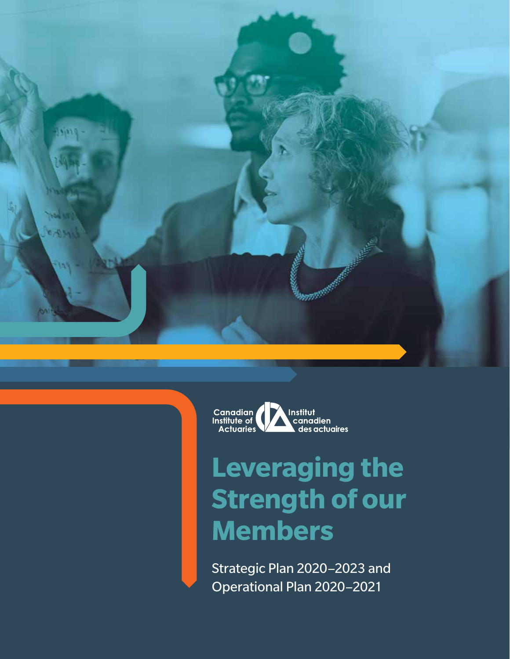



## **Leveraging the Strength of our Members**

Strategic Plan 2020–2023 and Operational Plan 2020–2021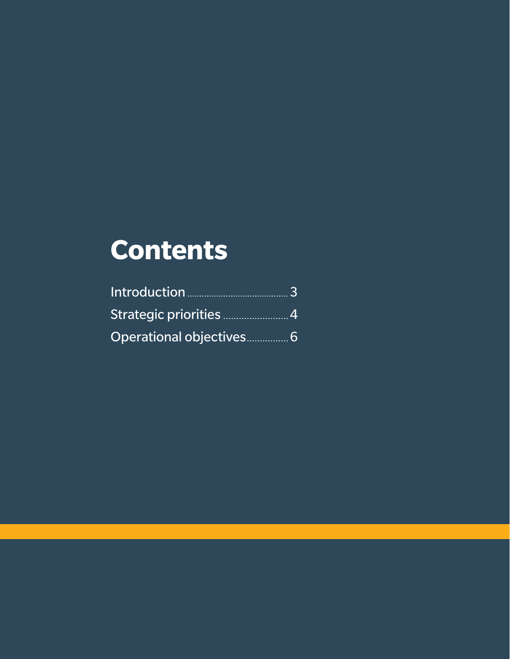## **Contents**

| Strategic priorities 4   |  |
|--------------------------|--|
| Operational objectives 6 |  |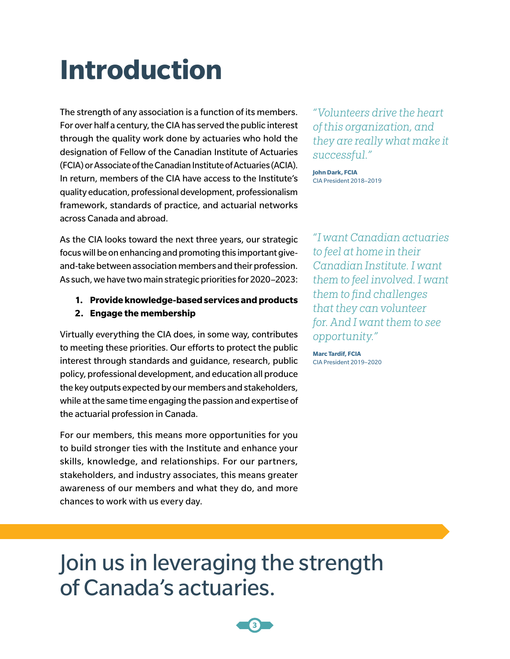## **Introduction**

The strength of any association is a function of its members. For over half a century, the CIA has served the public interest through the quality work done by actuaries who hold the designation of Fellow of the Canadian Institute of Actuaries (FCIA) or Associate of the Canadian Institute of Actuaries (ACIA). In return, members of the CIA have access to the Institute's quality education, professional development, professionalism framework, standards of practice, and actuarial networks across Canada and abroad.

As the CIA looks toward the next three years, our strategic focus will be on enhancing and promoting this important giveand-take between association members and their profession. As such, we have two main strategic priorities for 2020–2023:

- **1. Provide knowledge-based services and products**
- **2. Engage the membership**

Virtually everything the CIA does, in some way, contributes to meeting these priorities. Our efforts to protect the public interest through standards and guidance, research, public policy, professional development, and education all produce the key outputs expected by our members and stakeholders, while at the same time engaging the passion and expertise of the actuarial profession in Canada.

For our members, this means more opportunities for you to build stronger ties with the Institute and enhance your skills, knowledge, and relationships. For our partners, stakeholders, and industry associates, this means greater awareness of our members and what they do, and more chances to work with us every day.

*"Volunteers drive the heart of this organization, and they are really what make it successful."*

**John Dark, FCIA** CIA President 2018–2019

*"I want Canadian actuaries to feel at home in their Canadian Institute. I want them to feel involved. I want them to find challenges that they can volunteer for. And I want them to see opportunity."*

**Marc Tardif, FCIA** CIA President 2019–2020

Join us in leveraging the strength of Canada's actuaries.

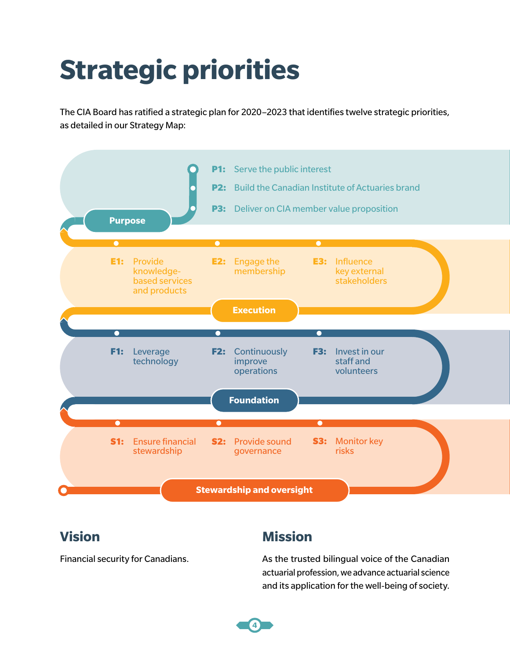# **Strategic priorities**

The CIA Board has ratified a strategic plan for 2020–2023 that identifies twelve strategic priorities, as detailed in our Strategy Map:



### **Vision**

Financial security for Canadians.

### **Mission**

As the trusted bilingual voice of the Canadian actuarial profession, we advance actuarial science and its application for the well-being of society.

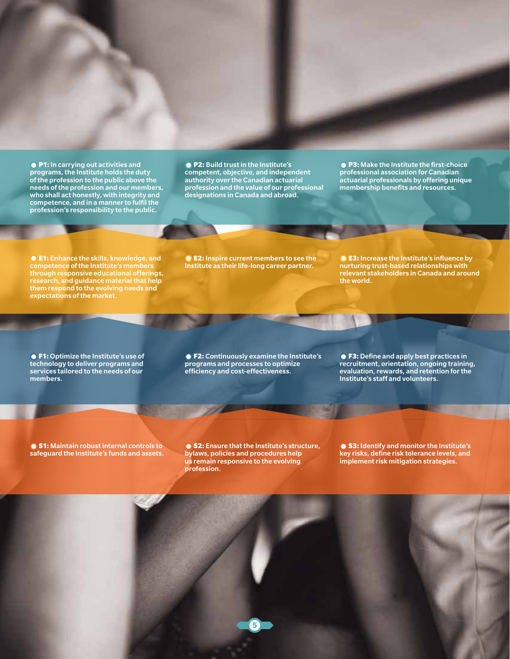● P1: In carrying out activities and programs, the Institute holds the duty of the profession to the public above the needs of the profession and our members, who shall act honestly, with integrity and competence, and in a manner to fulfil the profession's responsibility to the public.

● P2: Build trust in the Institute's competent, objective, and independent authority over the Canadian actuarial profession and the value of our professional designations in Canada and abroad.

● P3: Make the Institute the first-choice professional association for Canadian actuarial professionals by offering unique membership benefits and resources.

**CE1:** Enhance the skills, knowledge, and competence of the Institute's members through responsive educational offerings, research, and guidance material that help them respond to the evolving needs and expectations of the market.

● **E2:** Inspire current members to see the Institute as their life-long career partner.

**E3:** Increase the Institute's influence by nurturing trust-based relationships with relevant stakeholders in Canada and around the world.

F1: Optimize the Institute's use of technology to deliver programs and services tailored to the needs of our members.

● F2: Continuously examine the Institute's programs and processes to optimize efficiency and cost-effectiveness.

F3: Define and apply best practices in recruitment, orientation, ongoing training, evaluation, rewards, and retention for the Institute's staff and volunteers.

● S1: Maintain robust internal controls to safeguard the Institute's funds and assets.

● S2: Ensure that the Institute's structure, bylaws, policies and procedures help us remain responsive to the evolving profession.

**5**

● S3: Identify and monitor the Institute's key risks, define risk tolerance levels, and implement risk mitigation strategies.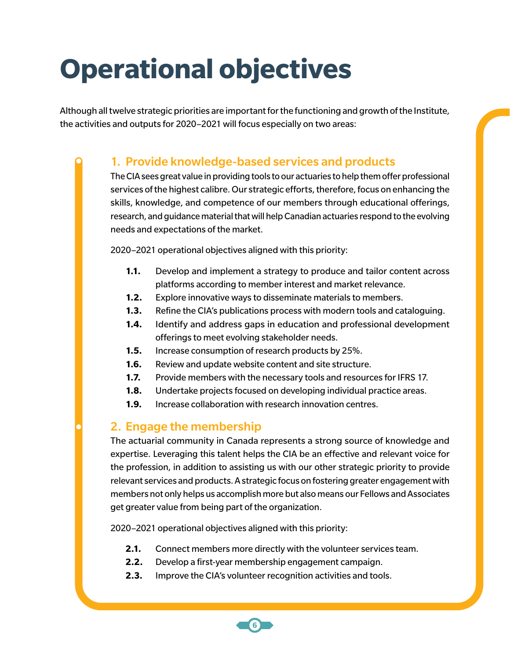# **Operational objectives**

Although all twelve strategic priorities are important for the functioning and growth of the Institute, the activities and outputs for 2020–2021 will focus especially on two areas:

#### 1. Provide knowledge-based services and products

The CIA sees great value in providing tools to our actuaries to help them offer professional services of the highest calibre. Our strategic efforts, therefore, focus on enhancing the skills, knowledge, and competence of our members through educational offerings, research, and guidance material that will help Canadian actuaries respond to the evolving needs and expectations of the market.

2020–2021 operational objectives aligned with this priority:

- **1.1.** Develop and implement a strategy to produce and tailor content across platforms according to member interest and market relevance.
- **1.2.** Explore innovative ways to disseminate materials to members.
- **1.3.** Refine the CIA's publications process with modern tools and cataloguing.
- **1.4.** Identify and address gaps in education and professional development offerings to meet evolving stakeholder needs.
- **1.5.** Increase consumption of research products by 25%.
- **1.6.** Review and update website content and site structure.
- **1.7.** Provide members with the necessary tools and resources for IFRS 17.
- **1.8.** Undertake projects focused on developing individual practice areas.
- **1.9.** Increase collaboration with research innovation centres.

#### 2. Engage the membership

The actuarial community in Canada represents a strong source of knowledge and expertise. Leveraging this talent helps the CIA be an effective and relevant voice for the profession, in addition to assisting us with our other strategic priority to provide relevant services and products. A strategic focus on fostering greater engagement with members not only helps us accomplish more but also means our Fellows and Associates get greater value from being part of the organization.

2020–2021 operational objectives aligned with this priority:

- **2.1.** Connect members more directly with the volunteer services team.
- **2.2.** Develop a first-year membership engagement campaign.

**6**

**2.3.** Improve the CIA's volunteer recognition activities and tools.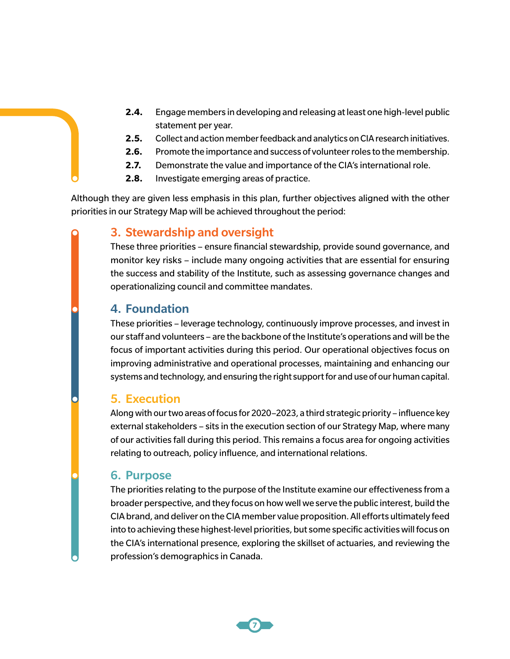- **2.4.** Engage members in developing and releasing at least one high-level public statement per year.
- **2.5.** Collect and action member feedback and analytics on CIA research initiatives.
- **2.6.** Promote the importance and success of volunteer roles to the membership.
- **2.7.** Demonstrate the value and importance of the CIA's international role.
- **2.8.** Investigate emerging areas of practice.

Although they are given less emphasis in this plan, further objectives aligned with the other priorities in our Strategy Map will be achieved throughout the period:

#### 3. Stewardship and oversight

These three priorities – ensure financial stewardship, provide sound governance, and monitor key risks – include many ongoing activities that are essential for ensuring the success and stability of the Institute, such as assessing governance changes and operationalizing council and committee mandates.

#### 4. Foundation

These priorities – leverage technology, continuously improve processes, and invest in our staff and volunteers – are the backbone of the Institute's operations and will be the focus of important activities during this period. Our operational objectives focus on improving administrative and operational processes, maintaining and enhancing our systems and technology, and ensuring the right support for and use of our human capital.

#### 5. Execution

Along with our two areas of focus for 2020–2023, a third strategic priority – influence key external stakeholders – sits in the execution section of our Strategy Map, where many of our activities fall during this period. This remains a focus area for ongoing activities relating to outreach, policy influence, and international relations.

#### 6. Purpose

The priorities relating to the purpose of the Institute examine our effectiveness from a broader perspective, and they focus on how well we serve the public interest, build the CIA brand, and deliver on the CIA member value proposition. All efforts ultimately feed into to achieving these highest-level priorities, but some specific activities will focus on the CIA's international presence, exploring the skillset of actuaries, and reviewing the profession's demographics in Canada.